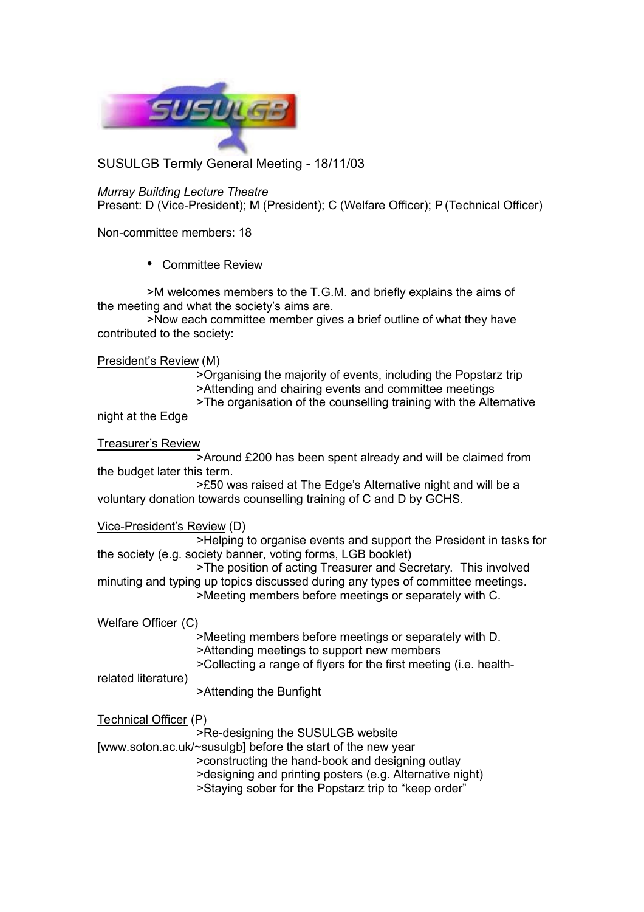

SUSULGB Termly General Meeting - 18/11/03

*Murray Building Lecture Theatre* Present: D (Vice-President); M (President); C (Welfare Officer); P (Technical Officer)

Non-committee members: 18

• Committee Review

>M welcomes members to the T.G.M. and briefly explains the aims of the meeting and what the society's aims are.

>Now each committee member gives a brief outline of what they have contributed to the society:

President's Review (M)

>Organising the majority of events, including the Popstarz trip >Attending and chairing events and committee meetings >The organisation of the counselling training with the Alternative

night at the Edge

Treasurer's Review

>Around £200 has been spent already and will be claimed from the budget later this term.

>£50 was raised at The Edge's Alternative night and will be a voluntary donation towards counselling training of C and D by GCHS.

Vice-President's Review (D)

>Helping to organise events and support the President in tasks for the society (e.g. society banner, voting forms, LGB booklet)

>The position of acting Treasurer and Secretary. This involved minuting and typing up topics discussed during any types of committee meetings. >Meeting members before meetings or separately with C.

Welfare Officer (C)

>Meeting members before meetings or separately with D. >Attending meetings to support new members

>Collecting a range of flyers for the first meeting (i.e. health-

related literature)

>Attending the Bunfight

Technical Officer (P)

>Re-designing the SUSULGB website

[www.soton.ac.uk/~susulgb] before the start of the new year >constructing the hand-book and designing outlay >designing and printing posters (e.g. Alternative night) >Staying sober for the Popstarz trip to "keep order"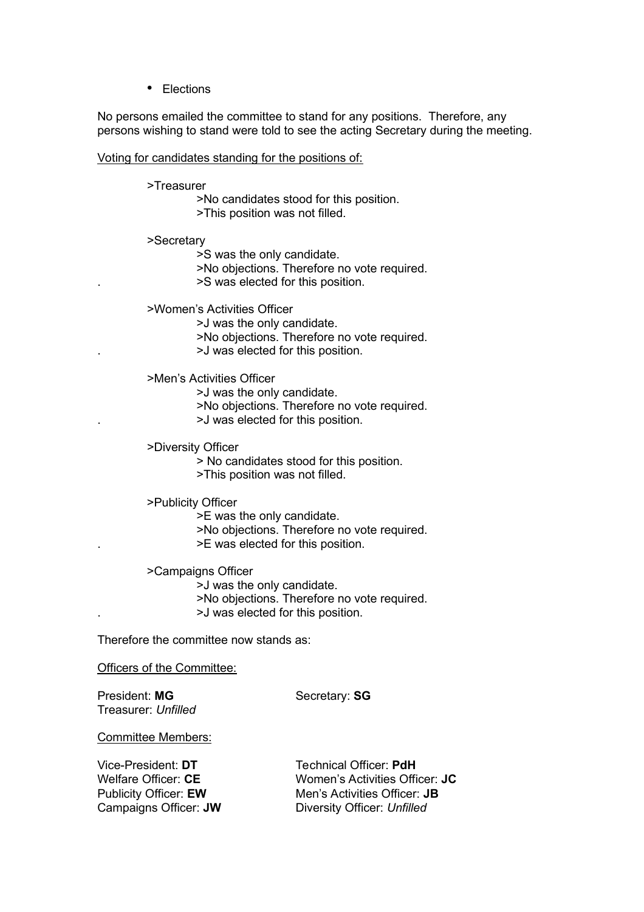• Elections

No persons emailed the committee to stand for any positions. Therefore, any persons wishing to stand were told to see the acting Secretary during the meeting.

## Voting for candidates standing for the positions of:

## >Treasurer

>No candidates stood for this position. >This position was not filled.

>Secretary

>S was the only candidate.

>No objections. Therefore no vote required.

. >S was elected for this position.

>Women's Activities Officer

>J was the only candidate.

>No objections. Therefore no vote required.

. >J was elected for this position.

>Men's Activities Officer

>J was the only candidate.

>No objections. Therefore no vote required.

. >J was elected for this position.

>Diversity Officer

> No candidates stood for this position.

>This position was not filled.

>Publicity Officer

>E was the only candidate.

>No objections. Therefore no vote required.

. >E was elected for this position.

>Campaigns Officer >J was the only candidate. >No objections. Therefore no vote required. . >J was elected for this position.

Therefore the committee now stands as:

Officers of the Committee:

President: MG Secretary: SG Treasurer: *Unfilled*

Committee Members:

Vice-President: DT Technical Officer: PdH

Welfare Officer: **CE** Women's Activities Officer: **JC** Publicity Officer: **EW** Men's Activities Officer: **JB** Campaigns Officer: **JW** Diversity Officer: *Unfilled*